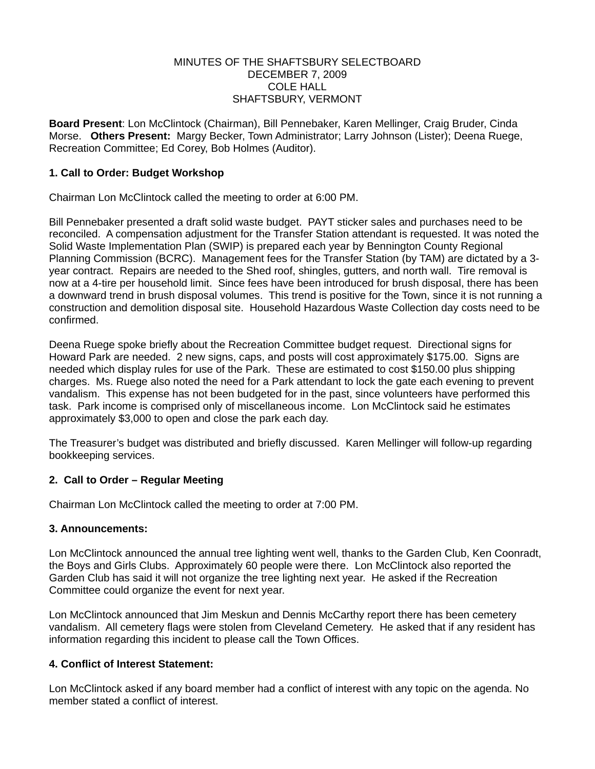#### MINUTES OF THE SHAFTSBURY SELECTBOARD DECEMBER 7, 2009 COLE HALL SHAFTSBURY, VERMONT

**Board Present**: Lon McClintock (Chairman), Bill Pennebaker, Karen Mellinger, Craig Bruder, Cinda Morse. **Others Present:** Margy Becker, Town Administrator; Larry Johnson (Lister); Deena Ruege, Recreation Committee; Ed Corey, Bob Holmes (Auditor).

## **1. Call to Order: Budget Workshop**

Chairman Lon McClintock called the meeting to order at 6:00 PM.

Bill Pennebaker presented a draft solid waste budget. PAYT sticker sales and purchases need to be reconciled. A compensation adjustment for the Transfer Station attendant is requested. It was noted the Solid Waste Implementation Plan (SWIP) is prepared each year by Bennington County Regional Planning Commission (BCRC). Management fees for the Transfer Station (by TAM) are dictated by a 3 year contract. Repairs are needed to the Shed roof, shingles, gutters, and north wall. Tire removal is now at a 4-tire per household limit. Since fees have been introduced for brush disposal, there has been a downward trend in brush disposal volumes. This trend is positive for the Town, since it is not running a construction and demolition disposal site. Household Hazardous Waste Collection day costs need to be confirmed.

Deena Ruege spoke briefly about the Recreation Committee budget request. Directional signs for Howard Park are needed. 2 new signs, caps, and posts will cost approximately \$175.00. Signs are needed which display rules for use of the Park. These are estimated to cost \$150.00 plus shipping charges. Ms. Ruege also noted the need for a Park attendant to lock the gate each evening to prevent vandalism. This expense has not been budgeted for in the past, since volunteers have performed this task. Park income is comprised only of miscellaneous income. Lon McClintock said he estimates approximately \$3,000 to open and close the park each day.

The Treasurer's budget was distributed and briefly discussed. Karen Mellinger will follow-up regarding bookkeeping services.

## **2. Call to Order – Regular Meeting**

Chairman Lon McClintock called the meeting to order at 7:00 PM.

## **3. Announcements:**

Lon McClintock announced the annual tree lighting went well, thanks to the Garden Club, Ken Coonradt, the Boys and Girls Clubs. Approximately 60 people were there. Lon McClintock also reported the Garden Club has said it will not organize the tree lighting next year. He asked if the Recreation Committee could organize the event for next year.

Lon McClintock announced that Jim Meskun and Dennis McCarthy report there has been cemetery vandalism. All cemetery flags were stolen from Cleveland Cemetery. He asked that if any resident has information regarding this incident to please call the Town Offices.

## **4. Conflict of Interest Statement:**

Lon McClintock asked if any board member had a conflict of interest with any topic on the agenda. No member stated a conflict of interest.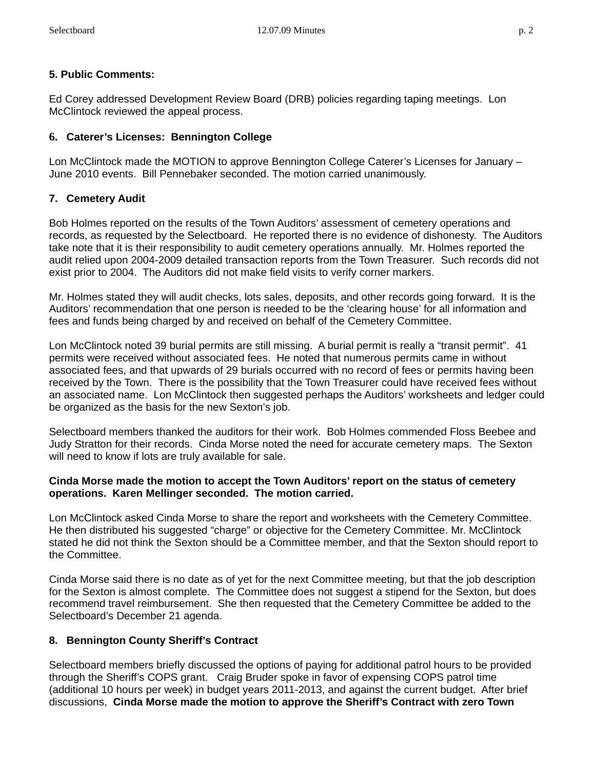# **5. Public Comments:**

Ed Corey addressed Development Review Board (DRB) policies regarding taping meetings. Lon McClintock reviewed the appeal process.

## **6. Caterer's Licenses: Bennington College**

Lon McClintock made the MOTION to approve Bennington College Caterer's Licenses for January – June 2010 events. Bill Pennebaker seconded. The motion carried unanimously.

## **7. Cemetery Audit**

Bob Holmes reported on the results of the Town Auditors' assessment of cemetery operations and records, as requested by the Selectboard. He reported there is no evidence of dishonesty. The Auditors take note that it is their responsibility to audit cemetery operations annually. Mr. Holmes reported the audit relied upon 2004-2009 detailed transaction reports from the Town Treasurer. Such records did not exist prior to 2004. The Auditors did not make field visits to verify corner markers.

Mr. Holmes stated they will audit checks, lots sales, deposits, and other records going forward. It is the Auditors' recommendation that one person is needed to be the 'clearing house' for all information and fees and funds being charged by and received on behalf of the Cemetery Committee.

Lon McClintock noted 39 burial permits are still missing. A burial permit is really a "transit permit". 41 permits were received without associated fees. He noted that numerous permits came in without associated fees, and that upwards of 29 burials occurred with no record of fees or permits having been received by the Town. There is the possibility that the Town Treasurer could have received fees without an associated name. Lon McClintock then suggested perhaps the Auditors' worksheets and ledger could be organized as the basis for the new Sexton's job.

Selectboard members thanked the auditors for their work. Bob Holmes commended Floss Beebee and Judy Stratton for their records. Cinda Morse noted the need for accurate cemetery maps. The Sexton will need to know if lots are truly available for sale.

#### **Cinda Morse made the motion to accept the Town Auditors' report on the status of cemetery operations. Karen Mellinger seconded. The motion carried.**

Lon McClintock asked Cinda Morse to share the report and worksheets with the Cemetery Committee. He then distributed his suggested "charge" or objective for the Cemetery Committee. Mr. McClintock stated he did not think the Sexton should be a Committee member, and that the Sexton should report to the Committee.

Cinda Morse said there is no date as of yet for the next Committee meeting, but that the job description for the Sexton is almost complete. The Committee does not suggest a stipend for the Sexton, but does recommend travel reimbursement. She then requested that the Cemetery Committee be added to the Selectboard's December 21 agenda.

# **8. Bennington County Sheriff's Contract**

Selectboard members briefly discussed the options of paying for additional patrol hours to be provided through the Sheriff's COPS grant. Craig Bruder spoke in favor of expensing COPS patrol time (additional 10 hours per week) in budget years 2011-2013, and against the current budget. After brief discussions, **Cinda Morse made the motion to approve the Sheriff's Contract with zero Town**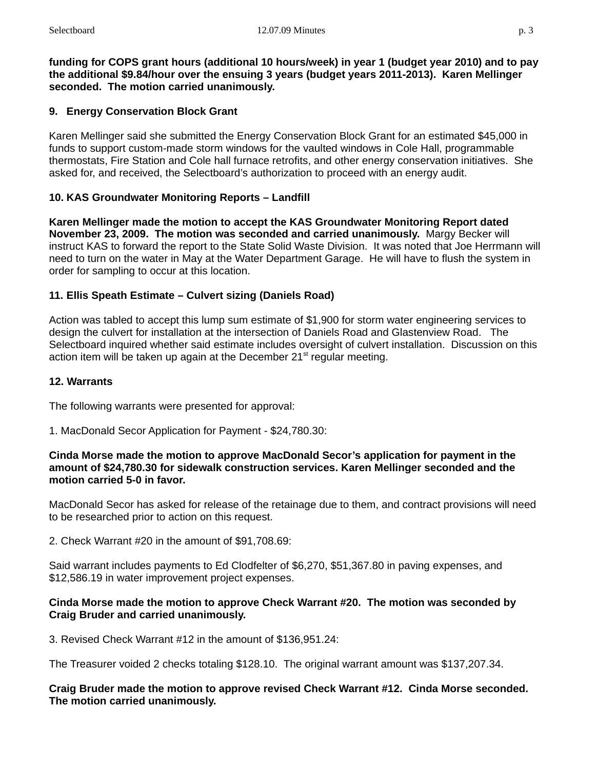**funding for COPS grant hours (additional 10 hours/week) in year 1 (budget year 2010) and to pay the additional \$9.84/hour over the ensuing 3 years (budget years 2011-2013). Karen Mellinger seconded. The motion carried unanimously.**

# **9. Energy Conservation Block Grant**

Karen Mellinger said she submitted the Energy Conservation Block Grant for an estimated \$45,000 in funds to support custom-made storm windows for the vaulted windows in Cole Hall, programmable thermostats, Fire Station and Cole hall furnace retrofits, and other energy conservation initiatives. She asked for, and received, the Selectboard's authorization to proceed with an energy audit.

## **10. KAS Groundwater Monitoring Reports – Landfill**

**Karen Mellinger made the motion to accept the KAS Groundwater Monitoring Report dated November 23, 2009. The motion was seconded and carried unanimously.** Margy Becker will instruct KAS to forward the report to the State Solid Waste Division. It was noted that Joe Herrmann will need to turn on the water in May at the Water Department Garage. He will have to flush the system in order for sampling to occur at this location.

## **11. Ellis Speath Estimate – Culvert sizing (Daniels Road)**

Action was tabled to accept this lump sum estimate of \$1,900 for storm water engineering services to design the culvert for installation at the intersection of Daniels Road and Glastenview Road. The Selectboard inquired whether said estimate includes oversight of culvert installation. Discussion on this action item will be taken up again at the December  $21<sup>st</sup>$  regular meeting.

#### **12. Warrants**

The following warrants were presented for approval:

1. MacDonald Secor Application for Payment - \$24,780.30:

#### **Cinda Morse made the motion to approve MacDonald Secor's application for payment in the amount of \$24,780.30 for sidewalk construction services. Karen Mellinger seconded and the motion carried 5-0 in favor.**

MacDonald Secor has asked for release of the retainage due to them, and contract provisions will need to be researched prior to action on this request.

2. Check Warrant #20 in the amount of \$91,708.69:

Said warrant includes payments to Ed Clodfelter of \$6,270, \$51,367.80 in paving expenses, and \$12,586.19 in water improvement project expenses.

## **Cinda Morse made the motion to approve Check Warrant #20. The motion was seconded by Craig Bruder and carried unanimously.**

3. Revised Check Warrant #12 in the amount of \$136,951.24:

The Treasurer voided 2 checks totaling \$128.10. The original warrant amount was \$137,207.34.

**Craig Bruder made the motion to approve revised Check Warrant #12. Cinda Morse seconded. The motion carried unanimously.**